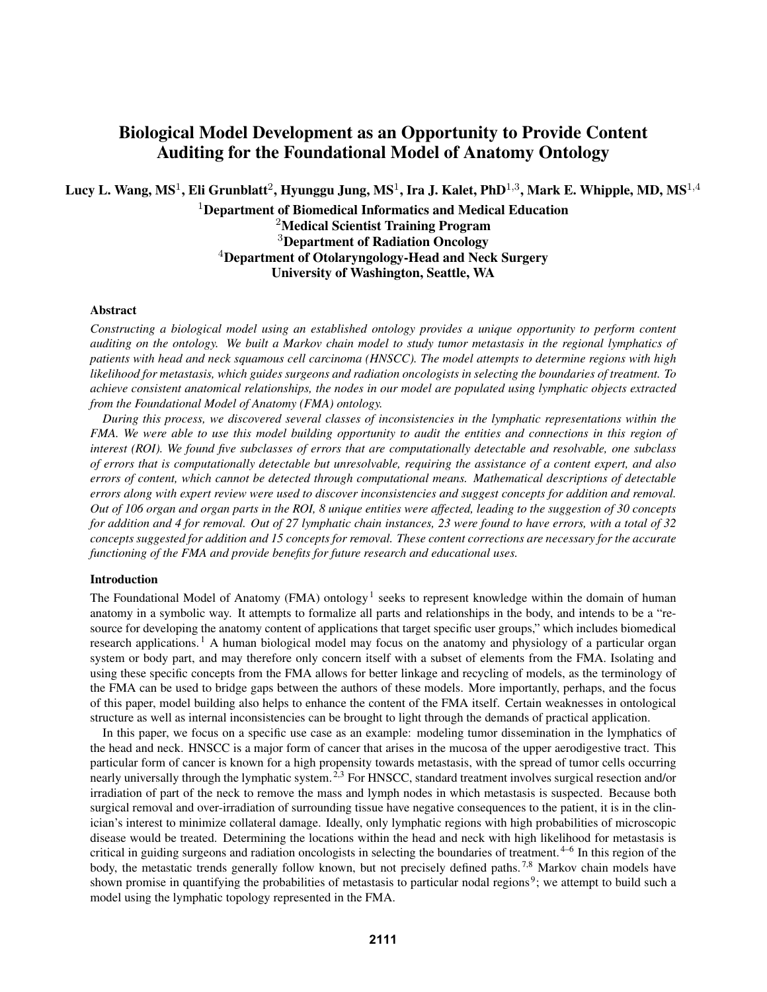# Biological Model Development as an Opportunity to Provide Content Auditing for the Foundational Model of Anatomy Ontology

Lucy L. Wang, MS $^1$ , Eli Grunblatt $^2$ , Hyunggu Jung, MS $^1$ , Ira J. Kalet, PhD $^{1,3}$ , Mark E. Whipple, MD, MS $^{1,4}$ 

 $1$ Department of Biomedical Informatics and Medical Education <sup>2</sup>Medical Scientist Training Program <sup>3</sup>Department of Radiation Oncology <sup>4</sup>Department of Otolaryngology-Head and Neck Surgery University of Washington, Seattle, WA

## Abstract

*Constructing a biological model using an established ontology provides a unique opportunity to perform content auditing on the ontology. We built a Markov chain model to study tumor metastasis in the regional lymphatics of patients with head and neck squamous cell carcinoma (HNSCC). The model attempts to determine regions with high likelihood for metastasis, which guides surgeons and radiation oncologists in selecting the boundaries of treatment. To achieve consistent anatomical relationships, the nodes in our model are populated using lymphatic objects extracted from the Foundational Model of Anatomy (FMA) ontology.*

*During this process, we discovered several classes of inconsistencies in the lymphatic representations within the FMA. We were able to use this model building opportunity to audit the entities and connections in this region of interest (ROI). We found five subclasses of errors that are computationally detectable and resolvable, one subclass of errors that is computationally detectable but unresolvable, requiring the assistance of a content expert, and also errors of content, which cannot be detected through computational means. Mathematical descriptions of detectable errors along with expert review were used to discover inconsistencies and suggest concepts for addition and removal. Out of 106 organ and organ parts in the ROI, 8 unique entities were affected, leading to the suggestion of 30 concepts for addition and 4 for removal. Out of 27 lymphatic chain instances, 23 were found to have errors, with a total of 32 concepts suggested for addition and 15 concepts for removal. These content corrections are necessary for the accurate functioning of the FMA and provide benefits for future research and educational uses.*

## Introduction

The Foundational Model of Anatomy (FMA) ontology<sup>1</sup> seeks to represent knowledge within the domain of human anatomy in a symbolic way. It attempts to formalize all parts and relationships in the body, and intends to be a "resource for developing the anatomy content of applications that target specific user groups," which includes biomedical research applications. <sup>1</sup> A human biological model may focus on the anatomy and physiology of a particular organ system or body part, and may therefore only concern itself with a subset of elements from the FMA. Isolating and using these specific concepts from the FMA allows for better linkage and recycling of models, as the terminology of the FMA can be used to bridge gaps between the authors of these models. More importantly, perhaps, and the focus of this paper, model building also helps to enhance the content of the FMA itself. Certain weaknesses in ontological structure as well as internal inconsistencies can be brought to light through the demands of practical application.

In this paper, we focus on a specific use case as an example: modeling tumor dissemination in the lymphatics of the head and neck. HNSCC is a major form of cancer that arises in the mucosa of the upper aerodigestive tract. This particular form of cancer is known for a high propensity towards metastasis, with the spread of tumor cells occurring nearly universally through the lymphatic system.<sup>2,3</sup> For HNSCC, standard treatment involves surgical resection and/or irradiation of part of the neck to remove the mass and lymph nodes in which metastasis is suspected. Because both surgical removal and over-irradiation of surrounding tissue have negative consequences to the patient, it is in the clinician's interest to minimize collateral damage. Ideally, only lymphatic regions with high probabilities of microscopic disease would be treated. Determining the locations within the head and neck with high likelihood for metastasis is critical in guiding surgeons and radiation oncologists in selecting the boundaries of treatment.  $4-6$  In this region of the body, the metastatic trends generally follow known, but not precisely defined paths.<sup>7,8</sup> Markov chain models have shown promise in quantifying the probabilities of metastasis to particular nodal regions<sup>9</sup>; we attempt to build such a model using the lymphatic topology represented in the FMA.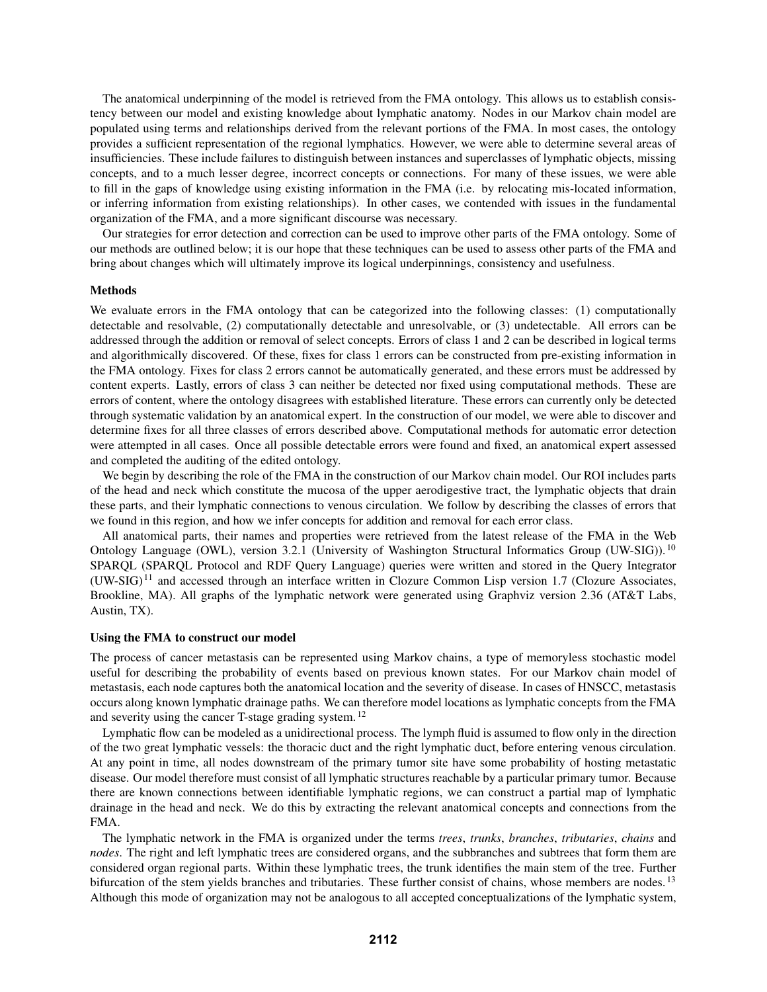The anatomical underpinning of the model is retrieved from the FMA ontology. This allows us to establish consistency between our model and existing knowledge about lymphatic anatomy. Nodes in our Markov chain model are populated using terms and relationships derived from the relevant portions of the FMA. In most cases, the ontology provides a sufficient representation of the regional lymphatics. However, we were able to determine several areas of insufficiencies. These include failures to distinguish between instances and superclasses of lymphatic objects, missing concepts, and to a much lesser degree, incorrect concepts or connections. For many of these issues, we were able to fill in the gaps of knowledge using existing information in the FMA (i.e. by relocating mis-located information, or inferring information from existing relationships). In other cases, we contended with issues in the fundamental organization of the FMA, and a more significant discourse was necessary.

Our strategies for error detection and correction can be used to improve other parts of the FMA ontology. Some of our methods are outlined below; it is our hope that these techniques can be used to assess other parts of the FMA and bring about changes which will ultimately improve its logical underpinnings, consistency and usefulness.

## Methods

We evaluate errors in the FMA ontology that can be categorized into the following classes: (1) computationally detectable and resolvable, (2) computationally detectable and unresolvable, or (3) undetectable. All errors can be addressed through the addition or removal of select concepts. Errors of class 1 and 2 can be described in logical terms and algorithmically discovered. Of these, fixes for class 1 errors can be constructed from pre-existing information in the FMA ontology. Fixes for class 2 errors cannot be automatically generated, and these errors must be addressed by content experts. Lastly, errors of class 3 can neither be detected nor fixed using computational methods. These are errors of content, where the ontology disagrees with established literature. These errors can currently only be detected through systematic validation by an anatomical expert. In the construction of our model, we were able to discover and determine fixes for all three classes of errors described above. Computational methods for automatic error detection were attempted in all cases. Once all possible detectable errors were found and fixed, an anatomical expert assessed and completed the auditing of the edited ontology.

We begin by describing the role of the FMA in the construction of our Markov chain model. Our ROI includes parts of the head and neck which constitute the mucosa of the upper aerodigestive tract, the lymphatic objects that drain these parts, and their lymphatic connections to venous circulation. We follow by describing the classes of errors that we found in this region, and how we infer concepts for addition and removal for each error class.

All anatomical parts, their names and properties were retrieved from the latest release of the FMA in the Web Ontology Language (OWL), version 3.2.1 (University of Washington Structural Informatics Group (UW-SIG)). <sup>10</sup> SPARQL (SPARQL Protocol and RDF Query Language) queries were written and stored in the Query Integrator (UW-SIG) <sup>11</sup> and accessed through an interface written in Clozure Common Lisp version 1.7 (Clozure Associates, Brookline, MA). All graphs of the lymphatic network were generated using Graphviz version 2.36 (AT&T Labs, Austin, TX).

#### Using the FMA to construct our model

The process of cancer metastasis can be represented using Markov chains, a type of memoryless stochastic model useful for describing the probability of events based on previous known states. For our Markov chain model of metastasis, each node captures both the anatomical location and the severity of disease. In cases of HNSCC, metastasis occurs along known lymphatic drainage paths. We can therefore model locations as lymphatic concepts from the FMA and severity using the cancer T-stage grading system. <sup>12</sup>

Lymphatic flow can be modeled as a unidirectional process. The lymph fluid is assumed to flow only in the direction of the two great lymphatic vessels: the thoracic duct and the right lymphatic duct, before entering venous circulation. At any point in time, all nodes downstream of the primary tumor site have some probability of hosting metastatic disease. Our model therefore must consist of all lymphatic structures reachable by a particular primary tumor. Because there are known connections between identifiable lymphatic regions, we can construct a partial map of lymphatic drainage in the head and neck. We do this by extracting the relevant anatomical concepts and connections from the FMA.

The lymphatic network in the FMA is organized under the terms *trees*, *trunks*, *branches*, *tributaries*, *chains* and *nodes*. The right and left lymphatic trees are considered organs, and the subbranches and subtrees that form them are considered organ regional parts. Within these lymphatic trees, the trunk identifies the main stem of the tree. Further bifurcation of the stem yields branches and tributaries. These further consist of chains, whose members are nodes.<sup>13</sup> Although this mode of organization may not be analogous to all accepted conceptualizations of the lymphatic system,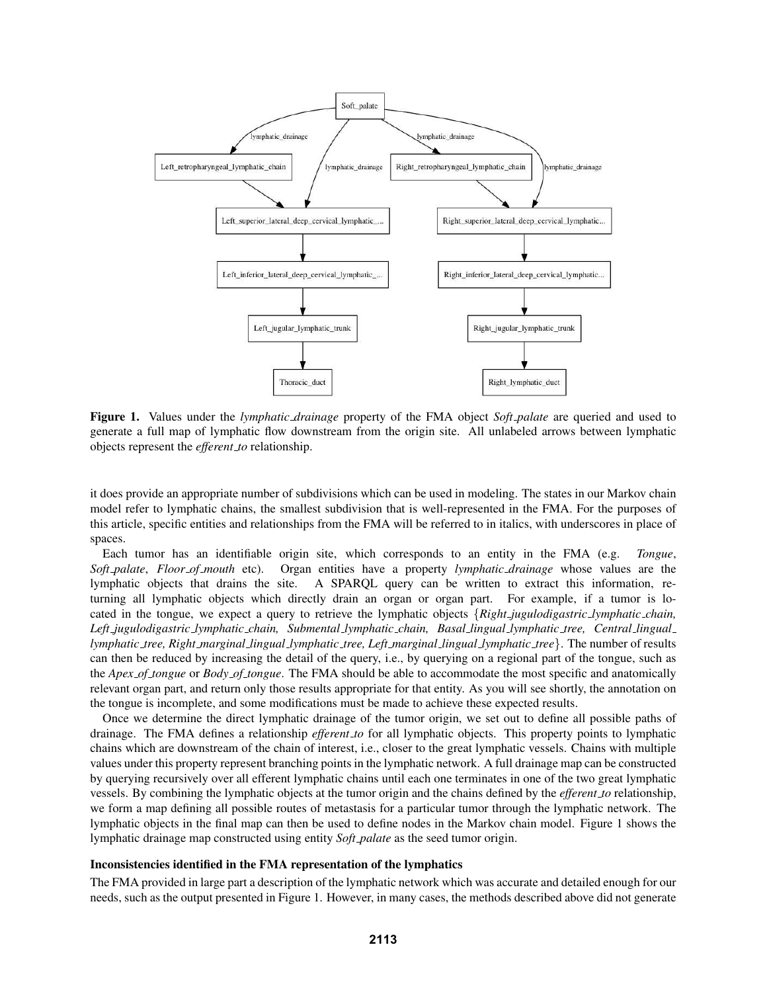

Figure 1. Values under the *lymphatic drainage* property of the FMA object *Soft palate* are queried and used to generate a full map of lymphatic flow downstream from the origin site. All unlabeled arrows between lymphatic objects represent the *efferent to* relationship.

it does provide an appropriate number of subdivisions which can be used in modeling. The states in our Markov chain model refer to lymphatic chains, the smallest subdivision that is well-represented in the FMA. For the purposes of this article, specific entities and relationships from the FMA will be referred to in italics, with underscores in place of spaces.

Each tumor has an identifiable origin site, which corresponds to an entity in the FMA (e.g. *Tongue*, *Soft palate*, *Floor of mouth* etc). Organ entities have a property *lymphatic drainage* whose values are the lymphatic objects that drains the site. A SPARQL query can be written to extract this information, returning all lymphatic objects which directly drain an organ or organ part. For example, if a tumor is located in the tongue, we expect a query to retrieve the lymphatic objects {*Right jugulodigastric lymphatic chain, Left jugulodigastric lymphatic chain, Submental lymphatic chain, Basal lingual lymphatic tree, Central lingual lymphatic tree, Right marginal lingual lymphatic tree, Left marginal lingual lymphatic tree*}. The number of results can then be reduced by increasing the detail of the query, i.e., by querying on a regional part of the tongue, such as the *Apex of tongue* or *Body of tongue*. The FMA should be able to accommodate the most specific and anatomically relevant organ part, and return only those results appropriate for that entity. As you will see shortly, the annotation on the tongue is incomplete, and some modifications must be made to achieve these expected results.

Once we determine the direct lymphatic drainage of the tumor origin, we set out to define all possible paths of drainage. The FMA defines a relationship *efferent to* for all lymphatic objects. This property points to lymphatic chains which are downstream of the chain of interest, i.e., closer to the great lymphatic vessels. Chains with multiple values under this property represent branching points in the lymphatic network. A full drainage map can be constructed by querying recursively over all efferent lymphatic chains until each one terminates in one of the two great lymphatic vessels. By combining the lymphatic objects at the tumor origin and the chains defined by the *efferent to* relationship, we form a map defining all possible routes of metastasis for a particular tumor through the lymphatic network. The lymphatic objects in the final map can then be used to define nodes in the Markov chain model. Figure 1 shows the lymphatic drainage map constructed using entity *Soft palate* as the seed tumor origin.

#### Inconsistencies identified in the FMA representation of the lymphatics

The FMA provided in large part a description of the lymphatic network which was accurate and detailed enough for our needs, such as the output presented in Figure 1. However, in many cases, the methods described above did not generate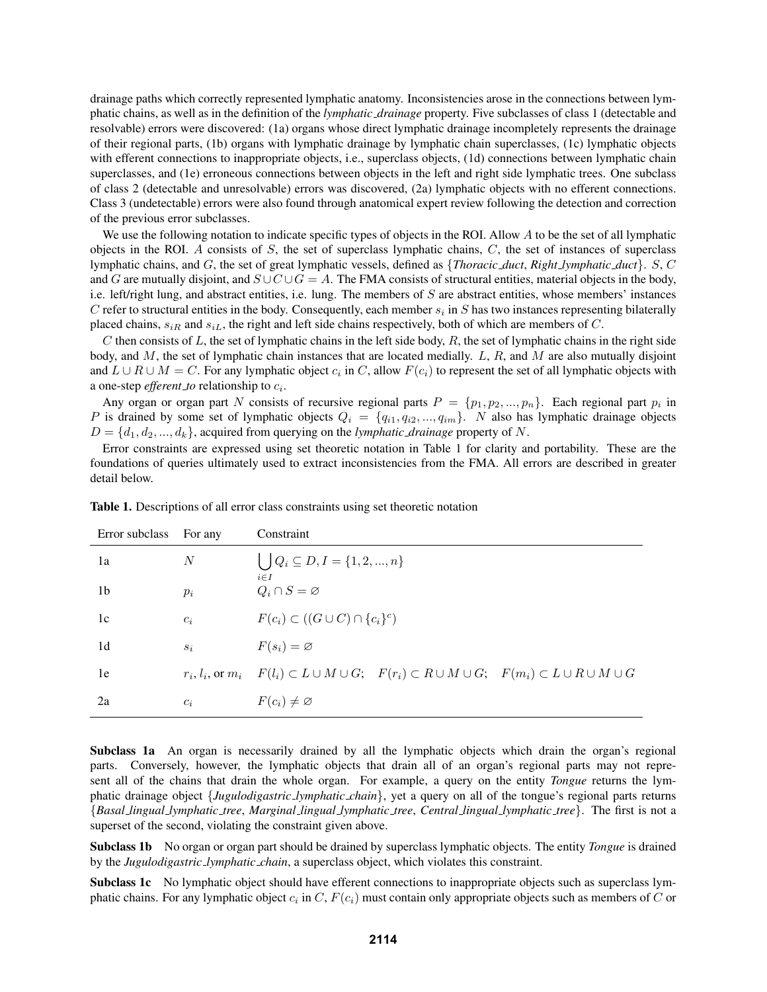drainage paths which correctly represented lymphatic anatomy. Inconsistencies arose in the connections between lymphatic chains, as well as in the definition of the *lymphatic drainage* property. Five subclasses of class 1 (detectable and resolvable) errors were discovered: (1a) organs whose direct lymphatic drainage incompletely represents the drainage of their regional parts, (1b) organs with lymphatic drainage by lymphatic chain superclasses, (1c) lymphatic objects with efferent connections to inappropriate objects, i.e., superclass objects, (1d) connections between lymphatic chain superclasses, and (1e) erroneous connections between objects in the left and right side lymphatic trees. One subclass of class 2 (detectable and unresolvable) errors was discovered, (2a) lymphatic objects with no efferent connections. Class 3 (undetectable) errors were also found through anatomical expert review following the detection and correction of the previous error subclasses.

We use the following notation to indicate specific types of objects in the ROI. Allow  $A$  to be the set of all lymphatic objects in the ROI. A consists of  $S$ , the set of superclass lymphatic chains,  $C$ , the set of instances of superclass lymphatic chains, and G, the set of great lymphatic vessels, defined as {*Thoracic duct*, *Right lymphatic duct*}. S, C and G are mutually disjoint, and  $S \cup C \cup G = A$ . The FMA consists of structural entities, material objects in the body, i.e. left/right lung, and abstract entities, i.e. lung. The members of  $S$  are abstract entities, whose members' instances C refer to structural entities in the body. Consequently, each member  $s_i$  in S has two instances representing bilaterally placed chains,  $s_{iR}$  and  $s_{iL}$ , the right and left side chains respectively, both of which are members of C.

C then consists of L, the set of lymphatic chains in the left side body,  $R$ , the set of lymphatic chains in the right side body, and  $M$ , the set of lymphatic chain instances that are located medially.  $L$ ,  $R$ , and  $M$  are also mutually disjoint and  $L \cup R \cup M = C$ . For any lymphatic object  $c_i$  in C, allow  $F(c_i)$  to represent the set of all lymphatic objects with a one-step *efferent\_to* relationship to  $c_i$ .

Any organ or organ part N consists of recursive regional parts  $P = \{p_1, p_2, ..., p_n\}$ . Each regional part  $p_i$  in P is drained by some set of lymphatic objects  $Q_i = \{q_{i1}, q_{i2}, ..., q_{im}\}\$ . N also has lymphatic drainage objects  $D = \{d_1, d_2, ..., d_k\}$ , acquired from querying on the *lymphatic\_drainage* property of N.

Error constraints are expressed using set theoretic notation in Table 1 for clarity and portability. These are the foundations of queries ultimately used to extract inconsistencies from the FMA. All errors are described in greater detail below.

| Error subclass | For any | Constraint                                                                                                                             |  |  |  |  |
|----------------|---------|----------------------------------------------------------------------------------------------------------------------------------------|--|--|--|--|
| 1a             | N       | $\bigcup Q_i \subseteq D, I = \{1, 2, , n\}$<br>$i \in I$                                                                              |  |  |  |  |
| 1b             | $p_i$   | $Q_i \cap S = \varnothing$                                                                                                             |  |  |  |  |
| 1c             | $c_i$   | $F(c_i) \subset ((G \cup C) \cap \{c_i\}^c)$                                                                                           |  |  |  |  |
| 1d             | $S_i$   | $F(s_i) = \varnothing$                                                                                                                 |  |  |  |  |
| 1e             |         | $r_i, l_i, \text{or } m_i$ $F(l_i) \subset L \cup M \cup G;$ $F(r_i) \subset R \cup M \cup G;$ $F(m_i) \subset L \cup R \cup M \cup G$ |  |  |  |  |
| 2a             | $c_i$   | $F(c_i) \neq \emptyset$                                                                                                                |  |  |  |  |

Table 1. Descriptions of all error class constraints using set theoretic notation

Subclass 1a An organ is necessarily drained by all the lymphatic objects which drain the organ's regional parts. Conversely, however, the lymphatic objects that drain all of an organ's regional parts may not represent all of the chains that drain the whole organ. For example, a query on the entity *Tongue* returns the lymphatic drainage object {*Jugulodigastric lymphatic chain*}, yet a query on all of the tongue's regional parts returns {*Basal lingual lymphatic tree*, *Marginal lingual lymphatic tree*, *Central lingual lymphatic tree*}. The first is not a superset of the second, violating the constraint given above.

Subclass 1b No organ or organ part should be drained by superclass lymphatic objects. The entity *Tongue* is drained by the *Jugulodigastric lymphatic chain*, a superclass object, which violates this constraint.

Subclass 1c No lymphatic object should have efferent connections to inappropriate objects such as superclass lymphatic chains. For any lymphatic object  $c_i$  in C,  $F(c_i)$  must contain only appropriate objects such as members of C or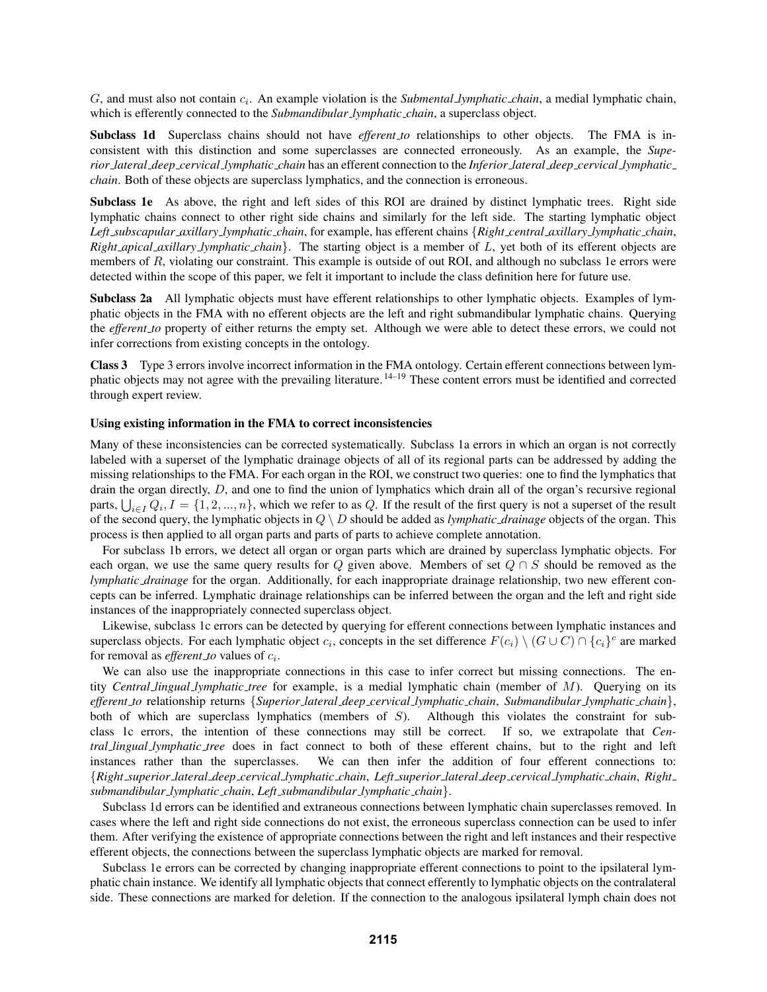G, and must also not contain  $c_i$ . An example violation is the *Submental <i>lymphatic chain*, a medial lymphatic chain, which is efferently connected to the *Submandibular <u>Jymphatic</u> chain*, a superclass object.

Subclass 1d Superclass chains should not have *efferent to* relationships to other objects. The FMA is inconsistent with this distinction and some superclasses are connected erroneously. As an example, the *Superior lateral deep cervical lymphatic chain* has an efferent connection to the *Inferior lateral deep cervical lymphatic chain*. Both of these objects are superclass lymphatics, and the connection is erroneous.

Subclass 1e As above, the right and left sides of this ROI are drained by distinct lymphatic trees. Right side lymphatic chains connect to other right side chains and similarly for the left side. The starting lymphatic object *Left subscapular axillary lymphatic chain*, for example, has efferent chains {*Right central axillary lymphatic chain*, *Right apical axillary lymphatic chain*}. The starting object is a member of L, yet both of its efferent objects are members of R, violating our constraint. This example is outside of out ROI, and although no subclass 1e errors were detected within the scope of this paper, we felt it important to include the class definition here for future use.

Subclass 2a All lymphatic objects must have efferent relationships to other lymphatic objects. Examples of lymphatic objects in the FMA with no efferent objects are the left and right submandibular lymphatic chains. Querying the *efferent to* property of either returns the empty set. Although we were able to detect these errors, we could not infer corrections from existing concepts in the ontology.

Class 3 Type 3 errors involve incorrect information in the FMA ontology. Certain efferent connections between lymphatic objects may not agree with the prevailing literature. 14–19 These content errors must be identified and corrected through expert review.

## Using existing information in the FMA to correct inconsistencies

Many of these inconsistencies can be corrected systematically. Subclass 1a errors in which an organ is not correctly labeled with a superset of the lymphatic drainage objects of all of its regional parts can be addressed by adding the missing relationships to the FMA. For each organ in the ROI, we construct two queries: one to find the lymphatics that drain the organ directly, D, and one to find the union of lymphatics which drain all of the organ's recursive regional parts,  $\bigcup_{i\in I}Q_i, I=\{1,2,...,n\},$  which we refer to as  $Q$ . If the result of the first query is not a superset of the result of the second query, the lymphatic objects in Q \ D should be added as *lymphatic drainage* objects of the organ. This process is then applied to all organ parts and parts of parts to achieve complete annotation.

For subclass 1b errors, we detect all organ or organ parts which are drained by superclass lymphatic objects. For each organ, we use the same query results for Q given above. Members of set  $Q \cap S$  should be removed as the *lymphatic drainage* for the organ. Additionally, for each inappropriate drainage relationship, two new efferent concepts can be inferred. Lymphatic drainage relationships can be inferred between the organ and the left and right side instances of the inappropriately connected superclass object.

Likewise, subclass 1c errors can be detected by querying for efferent connections between lymphatic instances and superclass objects. For each lymphatic object  $c_i$ , concepts in the set difference  $F(c_i) \setminus (G \cup C) \cap \{c_i\}^c$  are marked for removal as *efferent\_to* values of  $c_i$ .

We can also use the inappropriate connections in this case to infer correct but missing connections. The entity *Central lingual lymphatic tree* for example, is a medial lymphatic chain (member of M). Querying on its *efferent to* relationship returns {*Superior lateral deep cervical lymphatic chain*, *Submandibular lymphatic chain*}, both of which are superclass lymphatics (members of S). Although this violates the constraint for subclass 1c errors, the intention of these connections may still be correct. If so, we extrapolate that *Central lingual lymphatic tree* does in fact connect to both of these efferent chains, but to the right and left instances rather than the superclasses. We can then infer the addition of four efferent connections to: {*Right superior lateral deep cervical lymphatic chain*, *Left superior lateral deep cervical lymphatic chain*, *Right submandibular lymphatic chain*, *Left submandibular lymphatic chain*}.

Subclass 1d errors can be identified and extraneous connections between lymphatic chain superclasses removed. In cases where the left and right side connections do not exist, the erroneous superclass connection can be used to infer them. After verifying the existence of appropriate connections between the right and left instances and their respective efferent objects, the connections between the superclass lymphatic objects are marked for removal.

Subclass 1e errors can be corrected by changing inappropriate efferent connections to point to the ipsilateral lymphatic chain instance. We identify all lymphatic objects that connect efferently to lymphatic objects on the contralateral side. These connections are marked for deletion. If the connection to the analogous ipsilateral lymph chain does not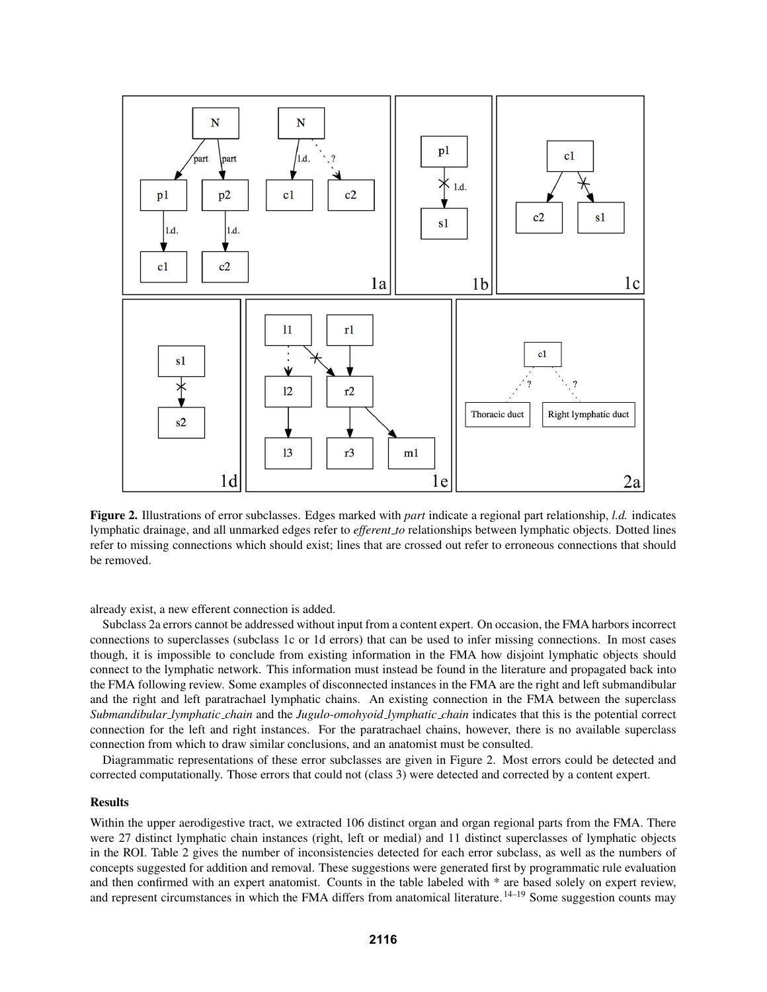

Figure 2. Illustrations of error subclasses. Edges marked with *part* indicate a regional part relationship, *l.d.* indicates lymphatic drainage, and all unmarked edges refer to *efferent to* relationships between lymphatic objects. Dotted lines refer to missing connections which should exist; lines that are crossed out refer to erroneous connections that should be removed.

already exist, a new efferent connection is added.

Subclass 2a errors cannot be addressed without input from a content expert. On occasion, the FMA harbors incorrect connections to superclasses (subclass 1c or 1d errors) that can be used to infer missing connections. In most cases though, it is impossible to conclude from existing information in the FMA how disjoint lymphatic objects should connect to the lymphatic network. This information must instead be found in the literature and propagated back into the FMA following review. Some examples of disconnected instances in the FMA are the right and left submandibular and the right and left paratrachael lymphatic chains. An existing connection in the FMA between the superclass *Submandibular lymphatic chain* and the *Jugulo-omohyoid lymphatic chain* indicates that this is the potential correct connection for the left and right instances. For the paratrachael chains, however, there is no available superclass connection from which to draw similar conclusions, and an anatomist must be consulted.

Diagrammatic representations of these error subclasses are given in Figure 2. Most errors could be detected and corrected computationally. Those errors that could not (class 3) were detected and corrected by a content expert.

#### Results

Within the upper aerodigestive tract, we extracted 106 distinct organ and organ regional parts from the FMA. There were 27 distinct lymphatic chain instances (right, left or medial) and 11 distinct superclasses of lymphatic objects in the ROI. Table 2 gives the number of inconsistencies detected for each error subclass, as well as the numbers of concepts suggested for addition and removal. These suggestions were generated first by programmatic rule evaluation and then confirmed with an expert anatomist. Counts in the table labeled with \* are based solely on expert review, and represent circumstances in which the FMA differs from anatomical literature. <sup>14–19</sup> Some suggestion counts may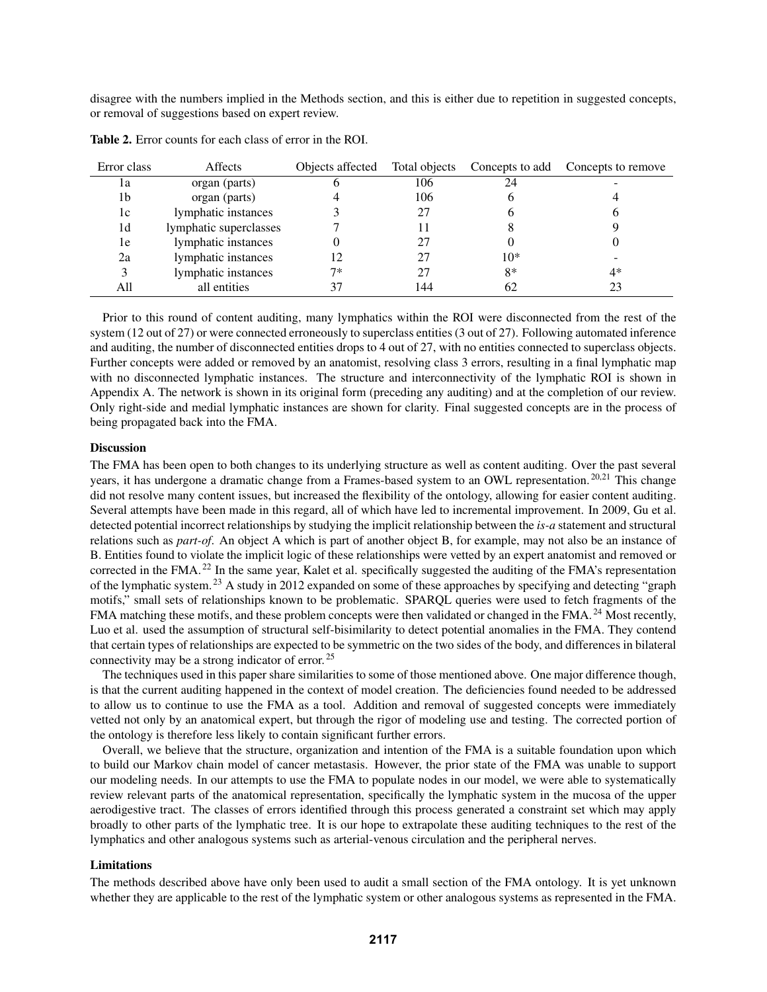disagree with the numbers implied in the Methods section, and this is either due to repetition in suggested concepts, or removal of suggestions based on expert review.

| Error class | Affects                | Objects affected | Total objects |       | Concepts to add Concepts to remove |
|-------------|------------------------|------------------|---------------|-------|------------------------------------|
| 1a          | organ (parts)          |                  | 106           | 24    |                                    |
| 1b          | organ (parts)          |                  | 106           | h     |                                    |
| 1c          | lymphatic instances    |                  | 27            | h     | O                                  |
| 1d          | lymphatic superclasses |                  |               |       |                                    |
| 1e          | lymphatic instances    |                  |               |       |                                    |
| 2a          | lymphatic instances    |                  |               | $10*$ |                                    |
| 3           | lymphatic instances    | $7*$             |               | 8*    | 4*                                 |
| All         | all entities           |                  | 144           | 62    | 23                                 |

Table 2. Error counts for each class of error in the ROI.

Prior to this round of content auditing, many lymphatics within the ROI were disconnected from the rest of the system (12 out of 27) or were connected erroneously to superclass entities (3 out of 27). Following automated inference and auditing, the number of disconnected entities drops to 4 out of 27, with no entities connected to superclass objects. Further concepts were added or removed by an anatomist, resolving class 3 errors, resulting in a final lymphatic map with no disconnected lymphatic instances. The structure and interconnectivity of the lymphatic ROI is shown in Appendix A. The network is shown in its original form (preceding any auditing) and at the completion of our review. Only right-side and medial lymphatic instances are shown for clarity. Final suggested concepts are in the process of being propagated back into the FMA.

#### **Discussion**

The FMA has been open to both changes to its underlying structure as well as content auditing. Over the past several years, it has undergone a dramatic change from a Frames-based system to an OWL representation.<sup>20,21</sup> This change did not resolve many content issues, but increased the flexibility of the ontology, allowing for easier content auditing. Several attempts have been made in this regard, all of which have led to incremental improvement. In 2009, Gu et al. detected potential incorrect relationships by studying the implicit relationship between the *is-a* statement and structural relations such as *part-of*. An object A which is part of another object B, for example, may not also be an instance of B. Entities found to violate the implicit logic of these relationships were vetted by an expert anatomist and removed or corrected in the FMA. <sup>22</sup> In the same year, Kalet et al. specifically suggested the auditing of the FMA's representation of the lymphatic system. <sup>23</sup> A study in 2012 expanded on some of these approaches by specifying and detecting "graph motifs," small sets of relationships known to be problematic. SPARQL queries were used to fetch fragments of the FMA matching these motifs, and these problem concepts were then validated or changed in the FMA.<sup>24</sup> Most recently, Luo et al. used the assumption of structural self-bisimilarity to detect potential anomalies in the FMA. They contend that certain types of relationships are expected to be symmetric on the two sides of the body, and differences in bilateral connectivity may be a strong indicator of error. <sup>25</sup>

The techniques used in this paper share similarities to some of those mentioned above. One major difference though, is that the current auditing happened in the context of model creation. The deficiencies found needed to be addressed to allow us to continue to use the FMA as a tool. Addition and removal of suggested concepts were immediately vetted not only by an anatomical expert, but through the rigor of modeling use and testing. The corrected portion of the ontology is therefore less likely to contain significant further errors.

Overall, we believe that the structure, organization and intention of the FMA is a suitable foundation upon which to build our Markov chain model of cancer metastasis. However, the prior state of the FMA was unable to support our modeling needs. In our attempts to use the FMA to populate nodes in our model, we were able to systematically review relevant parts of the anatomical representation, specifically the lymphatic system in the mucosa of the upper aerodigestive tract. The classes of errors identified through this process generated a constraint set which may apply broadly to other parts of the lymphatic tree. It is our hope to extrapolate these auditing techniques to the rest of the lymphatics and other analogous systems such as arterial-venous circulation and the peripheral nerves.

#### Limitations

The methods described above have only been used to audit a small section of the FMA ontology. It is yet unknown whether they are applicable to the rest of the lymphatic system or other analogous systems as represented in the FMA.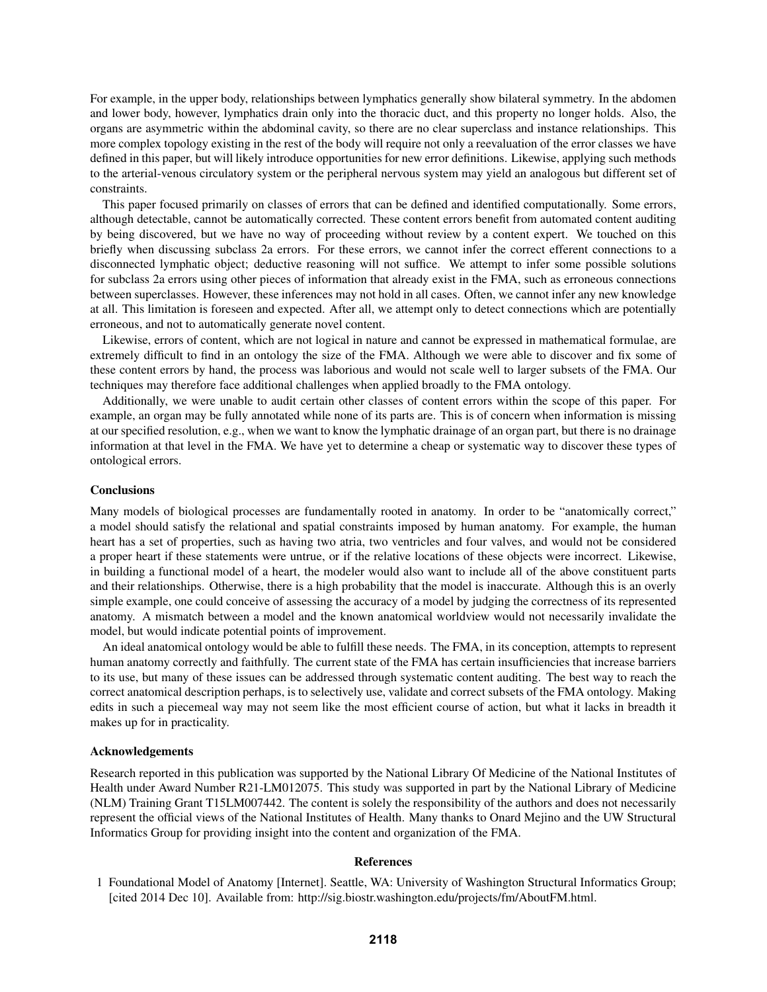For example, in the upper body, relationships between lymphatics generally show bilateral symmetry. In the abdomen and lower body, however, lymphatics drain only into the thoracic duct, and this property no longer holds. Also, the organs are asymmetric within the abdominal cavity, so there are no clear superclass and instance relationships. This more complex topology existing in the rest of the body will require not only a reevaluation of the error classes we have defined in this paper, but will likely introduce opportunities for new error definitions. Likewise, applying such methods to the arterial-venous circulatory system or the peripheral nervous system may yield an analogous but different set of constraints.

This paper focused primarily on classes of errors that can be defined and identified computationally. Some errors, although detectable, cannot be automatically corrected. These content errors benefit from automated content auditing by being discovered, but we have no way of proceeding without review by a content expert. We touched on this briefly when discussing subclass 2a errors. For these errors, we cannot infer the correct efferent connections to a disconnected lymphatic object; deductive reasoning will not suffice. We attempt to infer some possible solutions for subclass 2a errors using other pieces of information that already exist in the FMA, such as erroneous connections between superclasses. However, these inferences may not hold in all cases. Often, we cannot infer any new knowledge at all. This limitation is foreseen and expected. After all, we attempt only to detect connections which are potentially erroneous, and not to automatically generate novel content.

Likewise, errors of content, which are not logical in nature and cannot be expressed in mathematical formulae, are extremely difficult to find in an ontology the size of the FMA. Although we were able to discover and fix some of these content errors by hand, the process was laborious and would not scale well to larger subsets of the FMA. Our techniques may therefore face additional challenges when applied broadly to the FMA ontology.

Additionally, we were unable to audit certain other classes of content errors within the scope of this paper. For example, an organ may be fully annotated while none of its parts are. This is of concern when information is missing at our specified resolution, e.g., when we want to know the lymphatic drainage of an organ part, but there is no drainage information at that level in the FMA. We have yet to determine a cheap or systematic way to discover these types of ontological errors.

## **Conclusions**

Many models of biological processes are fundamentally rooted in anatomy. In order to be "anatomically correct," a model should satisfy the relational and spatial constraints imposed by human anatomy. For example, the human heart has a set of properties, such as having two atria, two ventricles and four valves, and would not be considered a proper heart if these statements were untrue, or if the relative locations of these objects were incorrect. Likewise, in building a functional model of a heart, the modeler would also want to include all of the above constituent parts and their relationships. Otherwise, there is a high probability that the model is inaccurate. Although this is an overly simple example, one could conceive of assessing the accuracy of a model by judging the correctness of its represented anatomy. A mismatch between a model and the known anatomical worldview would not necessarily invalidate the model, but would indicate potential points of improvement.

An ideal anatomical ontology would be able to fulfill these needs. The FMA, in its conception, attempts to represent human anatomy correctly and faithfully. The current state of the FMA has certain insufficiencies that increase barriers to its use, but many of these issues can be addressed through systematic content auditing. The best way to reach the correct anatomical description perhaps, is to selectively use, validate and correct subsets of the FMA ontology. Making edits in such a piecemeal way may not seem like the most efficient course of action, but what it lacks in breadth it makes up for in practicality.

#### Acknowledgements

Research reported in this publication was supported by the National Library Of Medicine of the National Institutes of Health under Award Number R21-LM012075. This study was supported in part by the National Library of Medicine (NLM) Training Grant T15LM007442. The content is solely the responsibility of the authors and does not necessarily represent the official views of the National Institutes of Health. Many thanks to Onard Mejino and the UW Structural Informatics Group for providing insight into the content and organization of the FMA.

#### References

<sup>1</sup> Foundational Model of Anatomy [Internet]. Seattle, WA: University of Washington Structural Informatics Group; [cited 2014 Dec 10]. Available from: http://sig.biostr.washington.edu/projects/fm/AboutFM.html.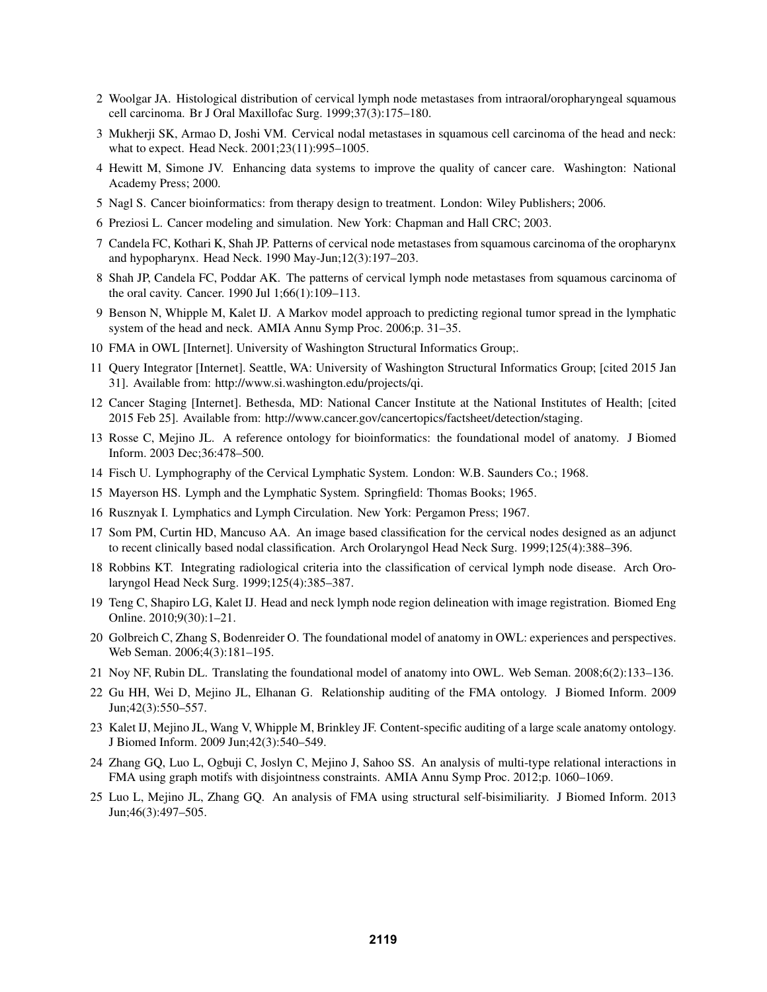- 2 Woolgar JA. Histological distribution of cervical lymph node metastases from intraoral/oropharyngeal squamous cell carcinoma. Br J Oral Maxillofac Surg. 1999;37(3):175–180.
- 3 Mukherji SK, Armao D, Joshi VM. Cervical nodal metastases in squamous cell carcinoma of the head and neck: what to expect. Head Neck. 2001;23(11):995–1005.
- 4 Hewitt M, Simone JV. Enhancing data systems to improve the quality of cancer care. Washington: National Academy Press; 2000.
- 5 Nagl S. Cancer bioinformatics: from therapy design to treatment. London: Wiley Publishers; 2006.
- 6 Preziosi L. Cancer modeling and simulation. New York: Chapman and Hall CRC; 2003.
- 7 Candela FC, Kothari K, Shah JP. Patterns of cervical node metastases from squamous carcinoma of the oropharynx and hypopharynx. Head Neck. 1990 May-Jun;12(3):197–203.
- 8 Shah JP, Candela FC, Poddar AK. The patterns of cervical lymph node metastases from squamous carcinoma of the oral cavity. Cancer. 1990 Jul 1;66(1):109–113.
- 9 Benson N, Whipple M, Kalet IJ. A Markov model approach to predicting regional tumor spread in the lymphatic system of the head and neck. AMIA Annu Symp Proc. 2006;p. 31–35.
- 10 FMA in OWL [Internet]. University of Washington Structural Informatics Group;.
- 11 Query Integrator [Internet]. Seattle, WA: University of Washington Structural Informatics Group; [cited 2015 Jan 31]. Available from: http://www.si.washington.edu/projects/qi.
- 12 Cancer Staging [Internet]. Bethesda, MD: National Cancer Institute at the National Institutes of Health; [cited 2015 Feb 25]. Available from: http://www.cancer.gov/cancertopics/factsheet/detection/staging.
- 13 Rosse C, Mejino JL. A reference ontology for bioinformatics: the foundational model of anatomy. J Biomed Inform. 2003 Dec;36:478–500.
- 14 Fisch U. Lymphography of the Cervical Lymphatic System. London: W.B. Saunders Co.; 1968.
- 15 Mayerson HS. Lymph and the Lymphatic System. Springfield: Thomas Books; 1965.
- 16 Rusznyak I. Lymphatics and Lymph Circulation. New York: Pergamon Press; 1967.
- 17 Som PM, Curtin HD, Mancuso AA. An image based classification for the cervical nodes designed as an adjunct to recent clinically based nodal classification. Arch Orolaryngol Head Neck Surg. 1999;125(4):388–396.
- 18 Robbins KT. Integrating radiological criteria into the classification of cervical lymph node disease. Arch Orolaryngol Head Neck Surg. 1999;125(4):385–387.
- 19 Teng C, Shapiro LG, Kalet IJ. Head and neck lymph node region delineation with image registration. Biomed Eng Online. 2010;9(30):1–21.
- 20 Golbreich C, Zhang S, Bodenreider O. The foundational model of anatomy in OWL: experiences and perspectives. Web Seman. 2006;4(3):181–195.
- 21 Noy NF, Rubin DL. Translating the foundational model of anatomy into OWL. Web Seman. 2008;6(2):133–136.
- 22 Gu HH, Wei D, Mejino JL, Elhanan G. Relationship auditing of the FMA ontology. J Biomed Inform. 2009 Jun;42(3):550–557.
- 23 Kalet IJ, Mejino JL, Wang V, Whipple M, Brinkley JF. Content-specific auditing of a large scale anatomy ontology. J Biomed Inform. 2009 Jun;42(3):540–549.
- 24 Zhang GQ, Luo L, Ogbuji C, Joslyn C, Mejino J, Sahoo SS. An analysis of multi-type relational interactions in FMA using graph motifs with disjointness constraints. AMIA Annu Symp Proc. 2012;p. 1060–1069.
- 25 Luo L, Mejino JL, Zhang GQ. An analysis of FMA using structural self-bisimiliarity. J Biomed Inform. 2013 Jun;46(3):497–505.